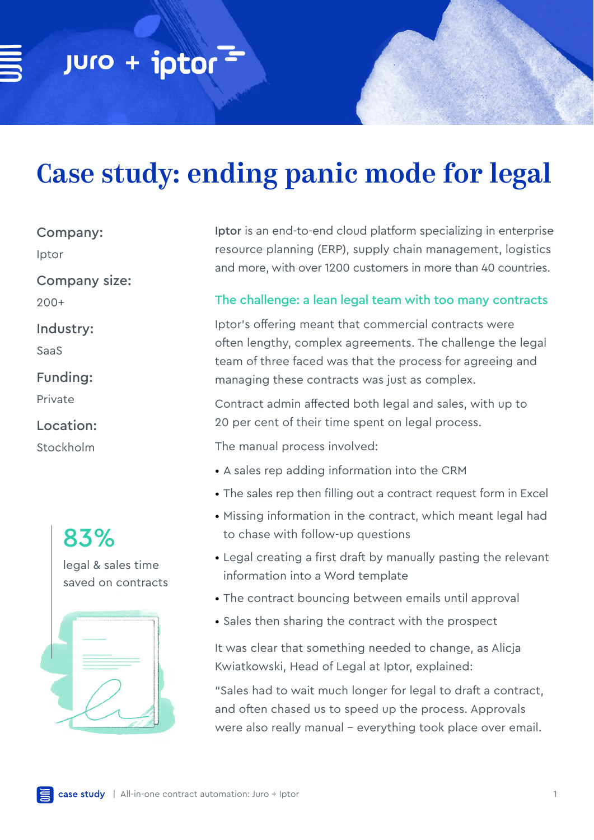# Case study: ending panic mode for legal

Company:

Iptor

Company size:

200+

Industry:

SaaS

Funding:

Private

Location:

Stockholm



Iptor is an end-to-end cloud platform specializing in enterprise resource planning (ERP), supply chain management, logistics and more, with over 1200 customers in more than 40 countries.

# The challenge: a lean legal team with too many contracts

Iptor's offering meant that commercial contracts were often lengthy, complex agreements. The challenge the legal team of three faced was that the process for agreeing and managing these contracts was just as complex.

Contract admin affected both legal and sales, with up to 20 per cent of their time spent on legal process.

The manual process involved:

- A sales rep adding information into the CRM
- The sales rep then filling out a contract request form in Excel
- Missing information in the contract, which meant legal had to chase with follow-up questions
- Legal creating a first draft by manually pasting the relevant information into a Word template
- The contract bouncing between emails until approval
- Sales then sharing the contract with the prospect

It was clear that something needed to change, as Alicja Kwiatkowski, Head of Legal at Iptor, explained:

"Sales had to wait much longer for legal to draft a contract, and often chased us to speed up the process. Approvals were also really manual - everything took place over email.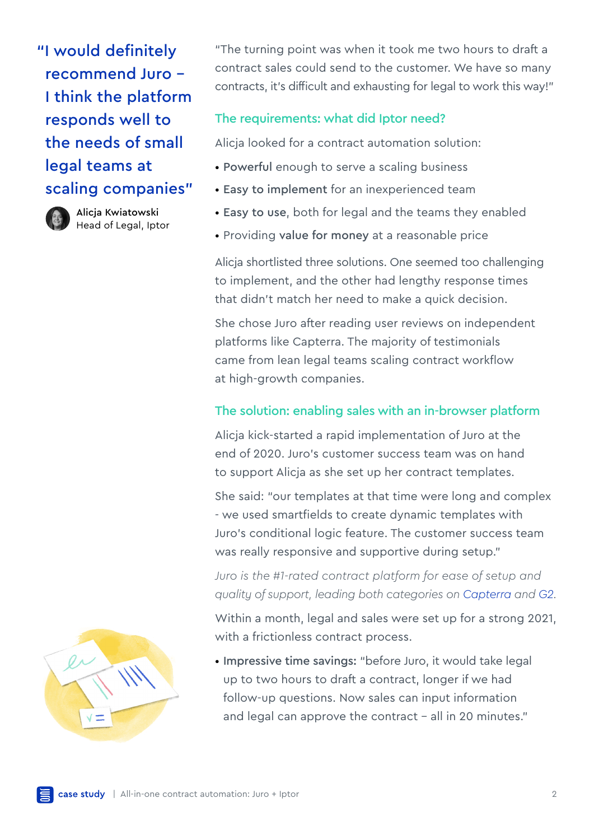"I would definitely recommend Juro - I think the platform responds well to the needs of small legal teams at scaling companies"



Alicja Kwiatowski Head of Legal, Iptor "The turning point was when it took me two hours to draft a contract sales could send to the customer. We have so many contracts, it's difficult and exhausting for legal to work this way!"

# The requirements: what did Iptor need?

Alicja looked for a contract automation solution:

- Powerful enough to serve a scaling business
- Easy to implement for an inexperienced team
- Easy to use, both for legal and the teams they enabled
- Providing value for money at a reasonable price

Alicja shortlisted three solutions. One seemed too challenging to implement, and the other had lengthy response times that didn't match her need to make a quick decision.

She chose Juro after reading user reviews on independent platforms like Capterra. The majority of testimonials came from lean legal teams scaling contract workflow at high-growth companies.

## The solution: enabling sales with an in-browser platform

Alicja kick-started a rapid implementation of Juro at the end of 2020. Juro's customer success team was on hand to support Alicja as she set up her contract templates.

She said: "our templates at that time were long and complex - we used smartfields to create dynamic templates with Juro's conditional logic feature. The customer success team was really responsive and supportive during setup."

*Juro is the #1-rated contract platform for ease of setup and quality of support, leading both categories on [Capterra](https://www.capterra.co.uk/software/167130/juro) and [G2.](https://www.g2.com/products/juro/reviews)*

Within a month, legal and sales were set up for a strong 2021, with a frictionless contract process.

• Impressive time savings: "before Juro, it would take legal up to two hours to draft a contract, longer if we had follow-up questions. Now sales can input information and legal can approve the contract - all in 20 minutes."